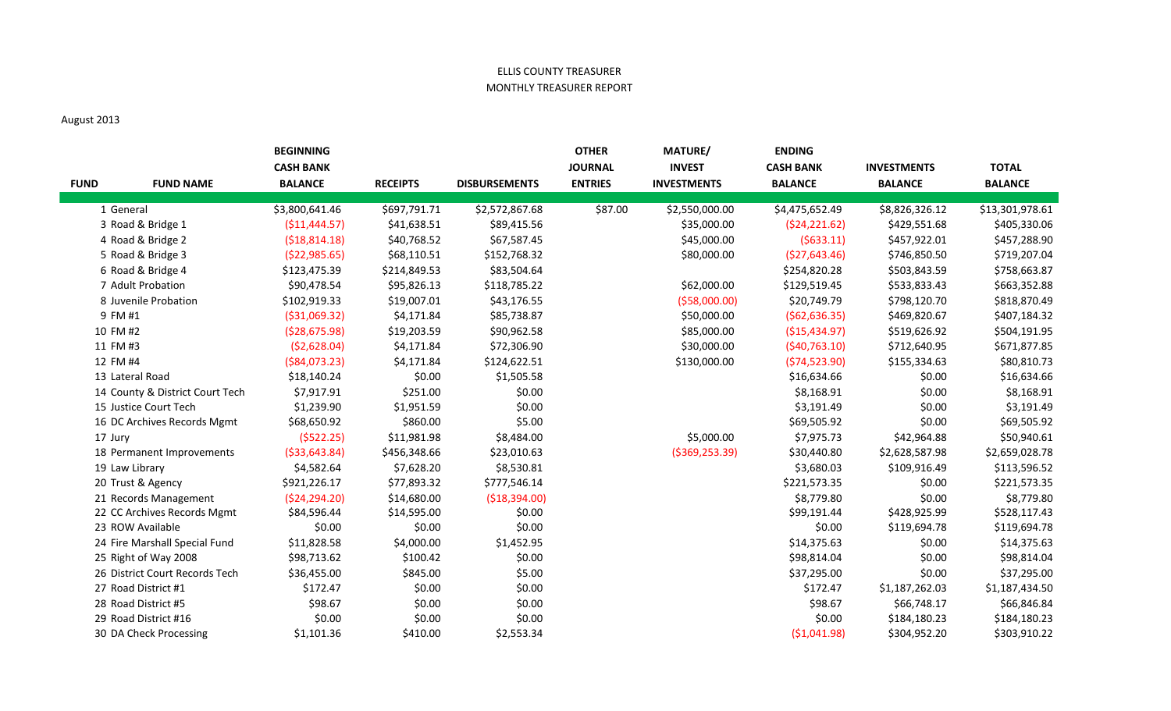## ELLIS COUNTY TREASURER MONTHLY TREASURER REPORT

## August 2013

| <b>FUND</b> | <b>FUND NAME</b>                | <b>BEGINNING</b><br><b>CASH BANK</b><br><b>BALANCE</b> | <b>RECEIPTS</b> | <b>DISBURSEMENTS</b> | <b>OTHER</b><br><b>JOURNAL</b><br><b>ENTRIES</b> | <b>MATURE/</b><br><b>INVEST</b><br><b>INVESTMENTS</b> | <b>ENDING</b><br><b>CASH BANK</b><br><b>BALANCE</b> | <b>INVESTMENTS</b><br><b>BALANCE</b> | <b>TOTAL</b><br><b>BALANCE</b> |
|-------------|---------------------------------|--------------------------------------------------------|-----------------|----------------------|--------------------------------------------------|-------------------------------------------------------|-----------------------------------------------------|--------------------------------------|--------------------------------|
|             | 1 General                       | \$3,800,641.46                                         | \$697,791.71    | \$2,572,867.68       | \$87.00                                          | \$2,550,000.00                                        | \$4,475,652.49                                      | \$8,826,326.12                       | \$13,301,978.61                |
|             | 3 Road & Bridge 1               | ( \$11,444.57)                                         | \$41,638.51     | \$89,415.56          |                                                  | \$35,000.00                                           | (524, 221.62)                                       | \$429,551.68                         | \$405,330.06                   |
|             | 4 Road & Bridge 2               | (518, 814.18)                                          | \$40,768.52     | \$67,587.45          |                                                  | \$45,000.00                                           | (5633.11)                                           | \$457,922.01                         | \$457,288.90                   |
|             | 5 Road & Bridge 3               | ( \$22, 985.65)                                        | \$68,110.51     | \$152,768.32         |                                                  | \$80,000.00                                           | (\$27,643.46)                                       | \$746,850.50                         | \$719,207.04                   |
|             | 6 Road & Bridge 4               | \$123,475.39                                           | \$214,849.53    | \$83,504.64          |                                                  |                                                       | \$254,820.28                                        | \$503,843.59                         | \$758,663.87                   |
|             | 7 Adult Probation               | \$90,478.54                                            | \$95,826.13     | \$118,785.22         |                                                  | \$62,000.00                                           | \$129,519.45                                        | \$533,833.43                         | \$663,352.88                   |
|             | 8 Juvenile Probation            | \$102,919.33                                           | \$19,007.01     | \$43,176.55          |                                                  | ( \$58,000.00)                                        | \$20,749.79                                         | \$798,120.70                         | \$818,870.49                   |
|             | 9 FM #1                         | ( \$31,069.32)                                         | \$4,171.84      | \$85,738.87          |                                                  | \$50,000.00                                           | (562, 636.35)                                       | \$469,820.67                         | \$407,184.32                   |
|             | 10 FM #2                        | ( \$28,675.98)                                         | \$19,203.59     | \$90,962.58          |                                                  | \$85,000.00                                           | ( \$15,434.97)                                      | \$519,626.92                         | \$504,191.95                   |
|             | 11 FM #3                        | (52,628.04)                                            | \$4,171.84      | \$72,306.90          |                                                  | \$30,000.00                                           | (540, 763.10)                                       | \$712,640.95                         | \$671,877.85                   |
|             | 12 FM #4                        | ( \$84,073.23)                                         | \$4,171.84      | \$124,622.51         |                                                  | \$130,000.00                                          | (574, 523.90)                                       | \$155,334.63                         | \$80,810.73                    |
|             | 13 Lateral Road                 | \$18,140.24                                            | \$0.00          | \$1,505.58           |                                                  |                                                       | \$16,634.66                                         | \$0.00                               | \$16,634.66                    |
|             | 14 County & District Court Tech | \$7,917.91                                             | \$251.00        | \$0.00               |                                                  |                                                       | \$8,168.91                                          | \$0.00                               | \$8,168.91                     |
|             | 15 Justice Court Tech           | \$1,239.90                                             | \$1,951.59      | \$0.00               |                                                  |                                                       | \$3,191.49                                          | \$0.00                               | \$3,191.49                     |
|             | 16 DC Archives Records Mgmt     | \$68,650.92                                            | \$860.00        | \$5.00               |                                                  |                                                       | \$69,505.92                                         | \$0.00                               | \$69,505.92                    |
|             | 17 Jury                         | (5522.25)                                              | \$11,981.98     | \$8,484.00           |                                                  | \$5,000.00                                            | \$7,975.73                                          | \$42,964.88                          | \$50,940.61                    |
|             | 18 Permanent Improvements       | ( \$33,643.84)                                         | \$456,348.66    | \$23,010.63          |                                                  | ( \$369, 253.39)                                      | \$30,440.80                                         | \$2,628,587.98                       | \$2,659,028.78                 |
|             | 19 Law Library                  | \$4,582.64                                             | \$7,628.20      | \$8,530.81           |                                                  |                                                       | \$3,680.03                                          | \$109,916.49                         | \$113,596.52                   |
|             | 20 Trust & Agency               | \$921,226.17                                           | \$77,893.32     | \$777,546.14         |                                                  |                                                       | \$221,573.35                                        | \$0.00                               | \$221,573.35                   |
|             | 21 Records Management           | (524, 294.20)                                          | \$14,680.00     | (\$18,394.00)        |                                                  |                                                       | \$8,779.80                                          | \$0.00                               | \$8,779.80                     |
|             | 22 CC Archives Records Mgmt     | \$84,596.44                                            | \$14,595.00     | \$0.00               |                                                  |                                                       | \$99,191.44                                         | \$428,925.99                         | \$528,117.43                   |
|             | 23 ROW Available                | \$0.00                                                 | \$0.00          | \$0.00               |                                                  |                                                       | \$0.00                                              | \$119,694.78                         | \$119,694.78                   |
|             | 24 Fire Marshall Special Fund   | \$11,828.58                                            | \$4,000.00      | \$1,452.95           |                                                  |                                                       | \$14,375.63                                         | \$0.00                               | \$14,375.63                    |
|             | 25 Right of Way 2008            | \$98,713.62                                            | \$100.42        | \$0.00               |                                                  |                                                       | \$98,814.04                                         | \$0.00                               | \$98,814.04                    |
|             | 26 District Court Records Tech  | \$36,455.00                                            | \$845.00        | \$5.00               |                                                  |                                                       | \$37,295.00                                         | \$0.00                               | \$37,295.00                    |
|             | 27 Road District #1             | \$172.47                                               | \$0.00          | \$0.00               |                                                  |                                                       | \$172.47                                            | \$1,187,262.03                       | \$1,187,434.50                 |
|             | 28 Road District #5             | \$98.67                                                | \$0.00          | \$0.00               |                                                  |                                                       | \$98.67                                             | \$66,748.17                          | \$66,846.84                    |
|             | 29 Road District #16            | \$0.00                                                 | \$0.00          | \$0.00               |                                                  |                                                       | \$0.00                                              | \$184,180.23                         | \$184,180.23                   |
|             | 30 DA Check Processing          | \$1,101.36                                             | \$410.00        | \$2,553.34           |                                                  |                                                       | ( \$1,041.98)                                       | \$304,952.20                         | \$303,910.22                   |